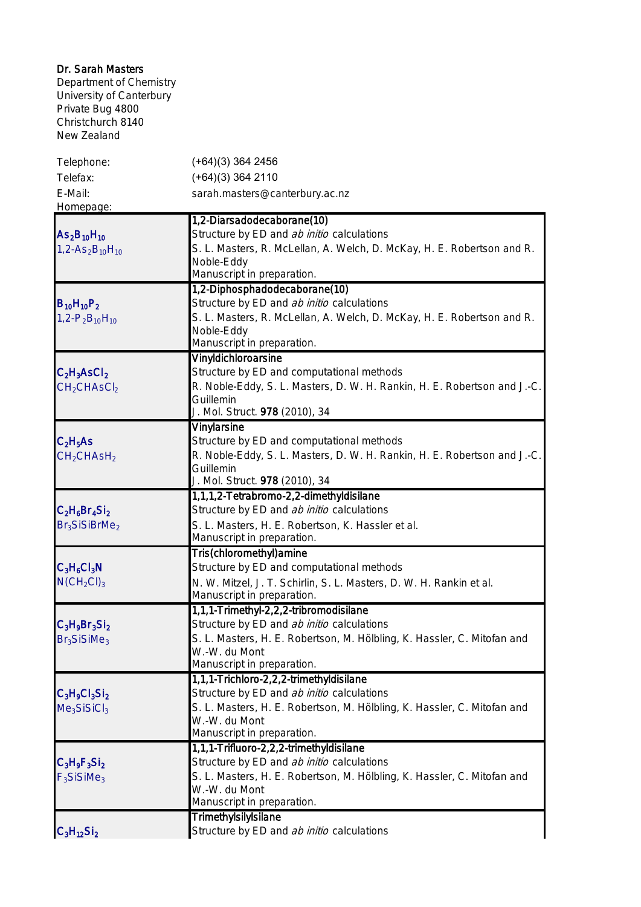| Dr. Sarah Masters<br>Department of Chemistry<br>University of Canterbury<br>Private Bug 4800<br>Christchurch 8140<br>New Zealand |                                                                                                                                                                                            |
|----------------------------------------------------------------------------------------------------------------------------------|--------------------------------------------------------------------------------------------------------------------------------------------------------------------------------------------|
| Telephone:<br>Telefax:                                                                                                           | $(+64)(3)$ 364 2456<br>$(+64)(3)$ 364 2110                                                                                                                                                 |
| E-Mail:<br>Homepage:                                                                                                             | sarah.masters@canterbury.ac.nz                                                                                                                                                             |
| $As2B10H10$<br>$1, 2 - As2B10H10$                                                                                                | 1,2-Diarsadodecaborane(10)<br>Structure by ED and ab initio calculations                                                                                                                   |
|                                                                                                                                  | S. L. Masters, R. McLellan, A. Welch, D. McKay, H. E. Robertson and R.<br>Noble-Eddy<br>Manuscript in preparation.                                                                         |
|                                                                                                                                  | 1,2-Diphosphadodecaborane(10)                                                                                                                                                              |
| $B_{10}H_{10}P_2$<br>$1, 2 - P_2B_{10}H_{10}$                                                                                    | Structure by ED and ab initio calculations<br>S. L. Masters, R. McLellan, A. Welch, D. McKay, H. E. Robertson and R.<br>Noble-Eddy<br>Manuscript in preparation.                           |
|                                                                                                                                  | Vinyldichloroarsine                                                                                                                                                                        |
| $C_2H_3ASCl_2$<br>CH <sub>2</sub> CHASCl <sub>2</sub>                                                                            | Structure by ED and computational methods<br>R. Noble-Eddy, S. L. Masters, D. W. H. Rankin, H. E. Robertson and J.-C.<br>Guillemin<br>J. Mol. Struct. 978 (2010), 34                       |
| $C_2H_5AS$<br>CH <sub>2</sub> CHASH <sub>2</sub>                                                                                 | <b>Vinylarsine</b><br>Structure by ED and computational methods<br>R. Noble-Eddy, S. L. Masters, D. W. H. Rankin, H. E. Robertson and J.-C.<br>Guillemin<br>J. Mol. Struct. 978 (2010), 34 |
|                                                                                                                                  | 1,1,1,2-Tetrabromo-2,2-dimethyldisilane                                                                                                                                                    |
| $C_2H_6Br_4Si_2$<br>Br <sub>3</sub> SiSiBrMe <sub>2</sub>                                                                        | Structure by ED and ab initio calculations<br>S. L. Masters, H. E. Robertson, K. Hassler et al.<br>Manuscript in preparation.                                                              |
|                                                                                                                                  | Tris(chloromethyl)amine                                                                                                                                                                    |
| $C_3H_6Cl_3N$<br>$N(CH_2Cl)_3$                                                                                                   | Structure by ED and computational methods<br>N. W. Mitzel, J. T. Schirlin, S. L. Masters, D. W. H. Rankin et al.<br>Manuscript in preparation.                                             |
|                                                                                                                                  | 1,1,1-Trimethyl-2,2,2-tribromodisilane                                                                                                                                                     |
| $C_3H_9Br_3Si_2$<br>Br <sub>3</sub> SiSiMe <sub>3</sub>                                                                          | Structure by ED and ab initio calculations<br>S. L. Masters, H. E. Robertson, M. Hölbling, K. Hassler, C. Mitofan and<br>W.-W. du Mont<br>Manuscript in preparation.                       |
|                                                                                                                                  | 1,1,1-Trichloro-2,2,2-trimethyldisilane                                                                                                                                                    |
| $C_3H_9Cl_3Si_2$<br>Me <sub>3</sub> SiSiCl <sub>3</sub>                                                                          | Structure by ED and ab initio calculations<br>S. L. Masters, H. E. Robertson, M. Hölbling, K. Hassler, C. Mitofan and<br>W.-W. du Mont<br>Manuscript in preparation.                       |
|                                                                                                                                  | 1,1,1-Trifluoro-2,2,2-trimethyldisilane                                                                                                                                                    |
| $C_3H_9F_3Si_2$<br>$F_3$ SiSiMe <sub>3</sub>                                                                                     | Structure by ED and ab initio calculations<br>S. L. Masters, H. E. Robertson, M. Hölbling, K. Hassler, C. Mitofan and<br>W.-W. du Mont<br>Manuscript in preparation.                       |
|                                                                                                                                  | Trimethylsilylsilane                                                                                                                                                                       |
| $C_3H_{12}Si_2$                                                                                                                  | Structure by ED and ab initio calculations                                                                                                                                                 |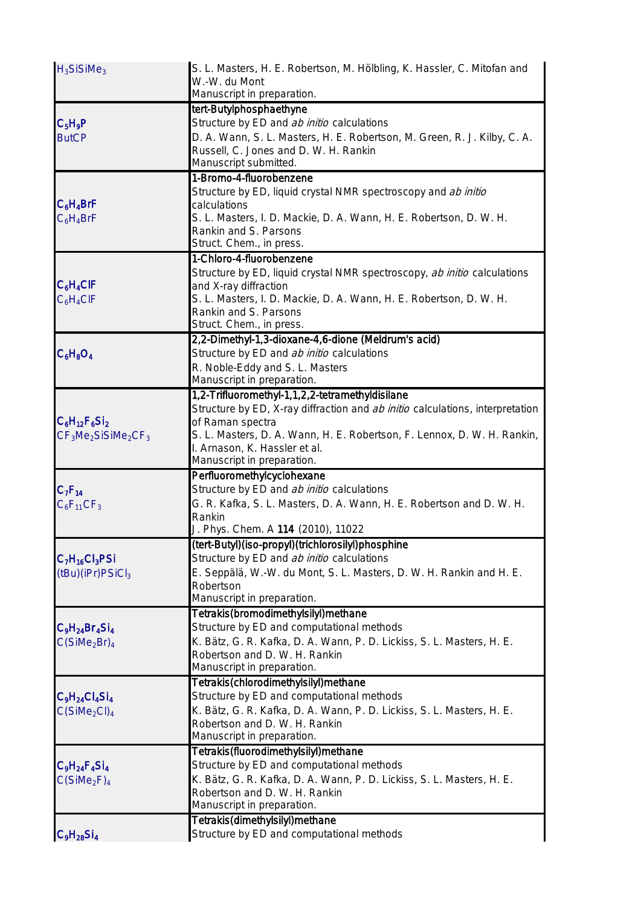| $H_3$ SiSiMe <sub>3</sub>                                                                             | S. L. Masters, H. E. Robertson, M. Hölbling, K. Hassler, C. Mitofan and<br>W.-W. du Mont<br>Manuscript in preparation. |
|-------------------------------------------------------------------------------------------------------|------------------------------------------------------------------------------------------------------------------------|
|                                                                                                       | tert-Butylphosphaethyne                                                                                                |
| $C_5H_9P$                                                                                             | Structure by ED and ab initio calculations                                                                             |
| <b>ButCP</b>                                                                                          | D. A. Wann, S. L. Masters, H. E. Robertson, M. Green, R. J. Kilby, C. A.                                               |
|                                                                                                       | Russell, C. Jones and D. W. H. Rankin                                                                                  |
|                                                                                                       | Manuscript submitted.                                                                                                  |
|                                                                                                       | 1-Bromo-4-fluorobenzene                                                                                                |
|                                                                                                       | Structure by ED, liquid crystal NMR spectroscopy and ab initio                                                         |
| $C_6H_4BrF$                                                                                           | calculations                                                                                                           |
| $C_6H_4BrF$                                                                                           | S. L. Masters, I. D. Mackie, D. A. Wann, H. E. Robertson, D. W. H.                                                     |
|                                                                                                       | Rankin and S. Parsons                                                                                                  |
|                                                                                                       | Struct. Chem., in press.<br>1-Chloro-4-fluorobenzene                                                                   |
|                                                                                                       |                                                                                                                        |
| $C_6H_4CIF$                                                                                           | Structure by ED, liquid crystal NMR spectroscopy, ab initio calculations<br>and X-ray diffraction                      |
| $C_6H_4CIF$                                                                                           | S. L. Masters, I. D. Mackie, D. A. Wann, H. E. Robertson, D. W. H.                                                     |
|                                                                                                       | Rankin and S. Parsons                                                                                                  |
|                                                                                                       | Struct. Chem., in press.                                                                                               |
|                                                                                                       | 2,2-Dimethyl-1,3-dioxane-4,6-dione (Meldrum's acid)                                                                    |
| $C_6H_8O_4$                                                                                           | Structure by ED and ab initio calculations                                                                             |
|                                                                                                       | R. Noble-Eddy and S. L. Masters                                                                                        |
|                                                                                                       | Manuscript in preparation.                                                                                             |
|                                                                                                       | 1,2-Trifluoromethyl-1,1,2,2-tetramethyldisilane                                                                        |
|                                                                                                       | Structure by ED, X-ray diffraction and ab initio calculations, interpretation                                          |
| $C_6H_{12}F_6Si_2$<br>$CF3Me2SiSiMe2CF3$<br>$C_7F_{14}$                                               | of Raman spectra                                                                                                       |
|                                                                                                       | S. L. Masters, D. A. Wann, H. E. Robertson, F. Lennox, D. W. H. Rankin,                                                |
|                                                                                                       | I. Arnason, K. Hassler et al.                                                                                          |
|                                                                                                       | Manuscript in preparation.                                                                                             |
|                                                                                                       | Perfluoromethylcyclohexane<br>Structure by ED and ab initio calculations                                               |
|                                                                                                       | G. R. Kafka, S. L. Masters, D. A. Wann, H. E. Robertson and D. W. H.                                                   |
| $C_6F_{11}CF_3$                                                                                       | Rankin                                                                                                                 |
|                                                                                                       | J. Phys. Chem. A 114 (2010), 11022                                                                                     |
|                                                                                                       | (tert-Butyl)(iso-propyl)(trichlorosilyl)phosphine                                                                      |
| $C_7H_{16}Cl_3PSi$<br>(tBu)(iPr)PSiCl <sub>3</sub>                                                    | Structure by ED and ab initio calculations                                                                             |
|                                                                                                       | E. Seppälä, W.-W. du Mont, S. L. Masters, D. W. H. Rankin and H. E.                                                    |
|                                                                                                       | Robertson                                                                                                              |
|                                                                                                       | Manuscript in preparation.                                                                                             |
|                                                                                                       | Tetrakis(bromodimethylsilyl)methane                                                                                    |
| $C_9H_{24}Br_4Si_4$                                                                                   | Structure by ED and computational methods                                                                              |
| C(SiMe <sub>2</sub> Br) <sub>4</sub>                                                                  | K. Bätz, G. R. Kafka, D. A. Wann, P. D. Lickiss, S. L. Masters, H. E.                                                  |
|                                                                                                       | Robertson and D. W. H. Rankin                                                                                          |
|                                                                                                       | Manuscript in preparation.                                                                                             |
| $\mathsf{C}_{9}\mathsf{H}_{24}\mathsf{Cl}_{4}\mathsf{Si}_{4}$<br>C(SiMe <sub>2</sub> Cl) <sub>4</sub> | Tetrakis(chlorodimethylsilyl)methane                                                                                   |
|                                                                                                       | Structure by ED and computational methods                                                                              |
|                                                                                                       | K. Bätz, G. R. Kafka, D. A. Wann, P. D. Lickiss, S. L. Masters, H. E.                                                  |
|                                                                                                       | Robertson and D. W. H. Rankin                                                                                          |
|                                                                                                       | Manuscript in preparation.<br>Tetrakis(fluorodimethylsilyl)methane                                                     |
|                                                                                                       |                                                                                                                        |
| $ C_9H_{24}F_4SI_4 $<br>C(SiMe <sub>2</sub> F) <sub>4</sub>                                           | Structure by ED and computational methods<br>K. Bätz, G. R. Kafka, D. A. Wann, P. D. Lickiss, S. L. Masters, H. E.     |
|                                                                                                       | Robertson and D. W. H. Rankin                                                                                          |
|                                                                                                       | Manuscript in preparation.                                                                                             |
|                                                                                                       | Tetrakis(dimethylsilyl)methane                                                                                         |
| $C_9H_{28}Si_4$                                                                                       | Structure by ED and computational methods                                                                              |
|                                                                                                       |                                                                                                                        |